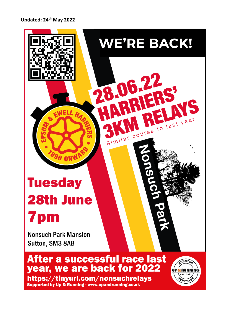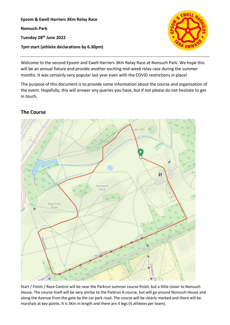**Epsom & Ewell Harriers 3Km Relay Race Nonsuch Park Tuesday 28th June 2022 7pm start (athlete declarations by 6.30pm)**



Welcome to the second Epsom and Ewell Harriers 3Km Relay Race at Nonsuch Park. We hope this will be an annual fixture and provide another exciting mid-week relay race during the summer months. It was certainly very popular last year even with the COVID restrictions in place!

The purpose of this document is to provide some information about the course and organisation of the event. Hopefully, this will answer any queries you have, but if not please do not hesitate to get in touch.

# **The Course**



Start / Finish / Race Control will be near the Parkrun summer course finish, but a little closer to Nonsuch House. The course itself will be very similar to the Parkrun A course, but will go around Nonsuch House and along the Avenue from the gate by the car park road. The course will be clearly marked and there will be marshals at key points. It is 3Km in length and there are 4 legs (4 athletes per team).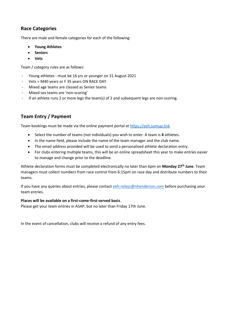# **Race Categories**

There are male and female categories for each of the following:

- **Young Athletes**
- **Seniors**
- **Vets**

Team / category rules are as follows:

- Young athletes must be 16 yrs or younger on 31 August 2021
- Vets = M40 years or F 35 years ON RACE DAY
- Mixed age teams are classed as Senior teams
- Mixed sex teams are 'non-scoring'
- If an athlete runs 2 or more legs the team(s) of 2 and subsequent legs are non-scoring.

# **Team Entry / Payment**

Team bookings must be made via the online payment portal a[t https://eeh.sumup.link](https://eeh.sumup.link/)

- Select the number of teams (not individuals) you wish to enter. A team is **4** athletes.
- In the name field, please include the name of the team manager and the club name.
- The email address provided will be used to send a personalised athlete declaration entry.
- For clubs entering multiple teams, this will be an online spreadsheet this year to make entries easier to manage and change prior to the deadline.

Athlete declaration forms must be completed electronically no later than 6pm on **Monday 27th June**. Team managers must collect numbers from race control from 6:15pm on race day and distribute numbers to their teams.

If you have any queries about entries, please contact [eeh-relays@nhenderson.com](mailto:eeh-relays@nhenderson.com) before purchasing your team entries.

#### **Places will be available on a first-come-first-served basis**.

Please get your team entries in ASAP, but no later than Friday 17th June.

In the event of cancellation, clubs will receive a refund of any entry fees.